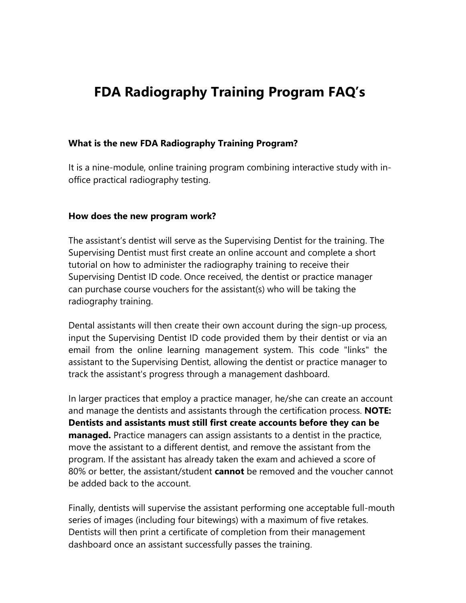# **FDA Radiography Training Program FAQ's**

#### **What is the new FDA Radiography Training Program?**

It is a nine-module, online training program combining interactive study with inoffice practical radiography testing.

#### **How does the new program work?**

The assistant's dentist will serve as the Supervising Dentist for the training. The Supervising Dentist must first create an online account and complete a short tutorial on how to administer the radiography training to receive their Supervising Dentist ID code. Once received, the dentist or practice manager can purchase course vouchers for the assistant(s) who will be taking the radiography training.

Dental assistants will then create their own account during the sign-up process, input the Supervising Dentist ID code provided them by their dentist or via an email from the online learning management system. This code "links" the assistant to the Supervising Dentist, allowing the dentist or practice manager to track the assistant's progress through a management dashboard.

In larger practices that employ a practice manager, he/she can create an account and manage the dentists and assistants through the certification process. **NOTE: Dentists and assistants must still first create accounts before they can be managed.** Practice managers can assign assistants to a dentist in the practice, move the assistant to a different dentist, and remove the assistant from the program. If the assistant has already taken the exam and achieved a score of 80% or better, the assistant/student **cannot** be removed and the voucher cannot be added back to the account.

Finally, dentists will supervise the assistant performing one acceptable full-mouth series of images (including four bitewings) with a maximum of five retakes. Dentists will then print a certificate of completion from their management dashboard once an assistant successfully passes the training.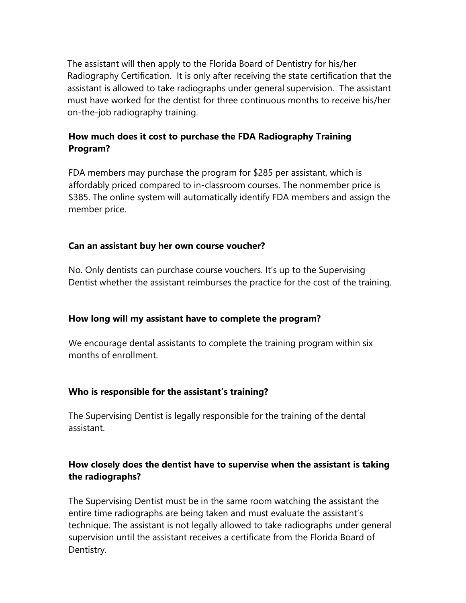The assistant will then apply to the Florida Board of Dentistry for his/her Radiography Certification. It is only after receiving the state certification that the assistant is allowed to take radiographs under general supervision. The assistant must have worked for the dentist for three continuous months to receive his/her on-the-job radiography training.

# **How much does it cost to purchase the FDA Radiography Training Program?**

FDA members may purchase the program for \$285 per assistant, which is affordably priced compared to in-classroom courses. The nonmember price is \$385. The online system will automatically identify FDA members and assign the member price.

## **Can an assistant buy her own course voucher?**

No. Only dentists can purchase course vouchers. It's up to the Supervising Dentist whether the assistant reimburses the practice for the cost of the training.

## **How long will my assistant have to complete the program?**

We encourage dental assistants to complete the training program within six months of enrollment.

## **Who is responsible for the assistant's training?**

The Supervising Dentist is legally responsible for the training of the dental assistant.

# **How closely does the dentist have to supervise when the assistant is taking the radiographs?**

The Supervising Dentist must be in the same room watching the assistant the entire time radiographs are being taken and must evaluate the assistant's technique. The assistant is not legally allowed to take radiographs under general supervision until the assistant receives a certificate from the Florida Board of Dentistry.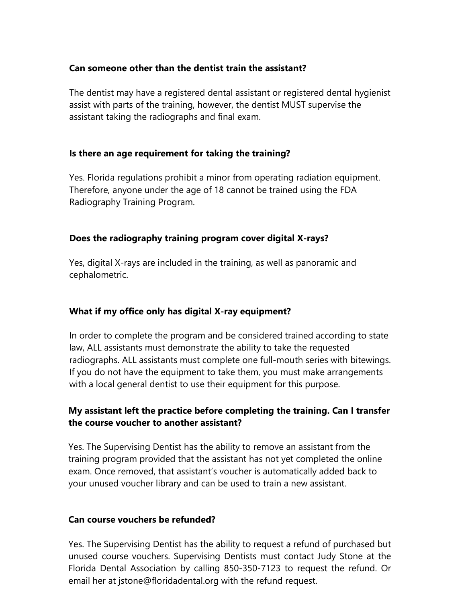## **Can someone other than the dentist train the assistant?**

The dentist may have a registered dental assistant or registered dental hygienist assist with parts of the training, however, the dentist MUST supervise the assistant taking the radiographs and final exam.

#### **Is there an age requirement for taking the training?**

Yes. Florida regulations prohibit a minor from operating radiation equipment. Therefore, anyone under the age of 18 cannot be trained using the FDA Radiography Training Program.

## **Does the radiography training program cover digital X-rays?**

Yes, digital X-rays are included in the training, as well as panoramic and cephalometric.

## **What if my office only has digital X-ray equipment?**

In order to complete the program and be considered trained according to state law, ALL assistants must demonstrate the ability to take the requested radiographs. ALL assistants must complete one full-mouth series with bitewings. If you do not have the equipment to take them, you must make arrangements with a local general dentist to use their equipment for this purpose.

# **My assistant left the practice before completing the training. Can I transfer the course voucher to another assistant?**

Yes. The Supervising Dentist has the ability to remove an assistant from the training program provided that the assistant has not yet completed the online exam. Once removed, that assistant's voucher is automatically added back to your unused voucher library and can be used to train a new assistant.

#### **Can course vouchers be refunded?**

Yes. The Supervising Dentist has the ability to request a refund of purchased but unused course vouchers. Supervising Dentists must contact Judy Stone at the Florida Dental Association by calling 850-350-7123 to request the refund. Or email her at jstone@floridadental.org with the refund request.